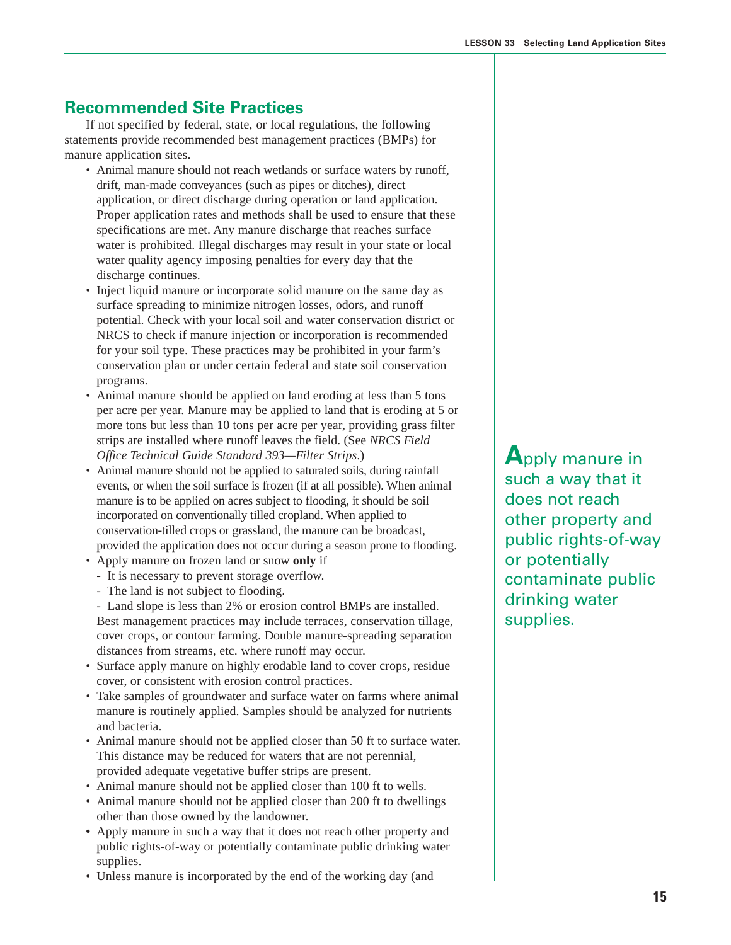## **Recommended Site Practices**

If not specified by federal, state, or local regulations, the following statements provide recommended best management practices (BMPs) for manure application sites.

- Animal manure should not reach wetlands or surface waters by runoff, drift, man-made conveyances (such as pipes or ditches), direct application, or direct discharge during operation or land application. Proper application rates and methods shall be used to ensure that these specifications are met. Any manure discharge that reaches surface water is prohibited. Illegal discharges may result in your state or local water quality agency imposing penalties for every day that the discharge continues.
- Inject liquid manure or incorporate solid manure on the same day as surface spreading to minimize nitrogen losses, odors, and runoff potential. Check with your local soil and water conservation district or NRCS to check if manure injection or incorporation is recommended for your soil type. These practices may be prohibited in your farm's conservation plan or under certain federal and state soil conservation programs.
- Animal manure should be applied on land eroding at less than 5 tons per acre per year. Manure may be applied to land that is eroding at 5 or more tons but less than 10 tons per acre per year, providing grass filter strips are installed where runoff leaves the field. (See *NRCS Field Office Technical Guide Standard 393—Filter Strips*.)
- Animal manure should not be applied to saturated soils, during rainfall events, or when the soil surface is frozen (if at all possible). When animal manure is to be applied on acres subject to flooding, it should be soil incorporated on conventionally tilled cropland. When applied to conservation-tilled crops or grassland, the manure can be broadcast, provided the application does not occur during a season prone to flooding.
- Apply manure on frozen land or snow **only** if
	- It is necessary to prevent storage overflow.
	- The land is not subject to flooding.

- Land slope is less than 2% or erosion control BMPs are installed. Best management practices may include terraces, conservation tillage, cover crops, or contour farming. Double manure-spreading separation distances from streams, etc. where runoff may occur.

- Surface apply manure on highly erodable land to cover crops, residue cover, or consistent with erosion control practices.
- Take samples of groundwater and surface water on farms where animal manure is routinely applied. Samples should be analyzed for nutrients and bacteria.
- Animal manure should not be applied closer than 50 ft to surface water. This distance may be reduced for waters that are not perennial, provided adequate vegetative buffer strips are present.
- Animal manure should not be applied closer than 100 ft to wells.
- Animal manure should not be applied closer than 200 ft to dwellings other than those owned by the landowner.
- **•** Apply manure in such a way that it does not reach other property and public rights-of-way or potentially contaminate public drinking water supplies.
- Unless manure is incorporated by the end of the working day (and

**A**pply manure in such a way that it does not reach other property and public rights-of-way or potentially contaminate public drinking water supplies.